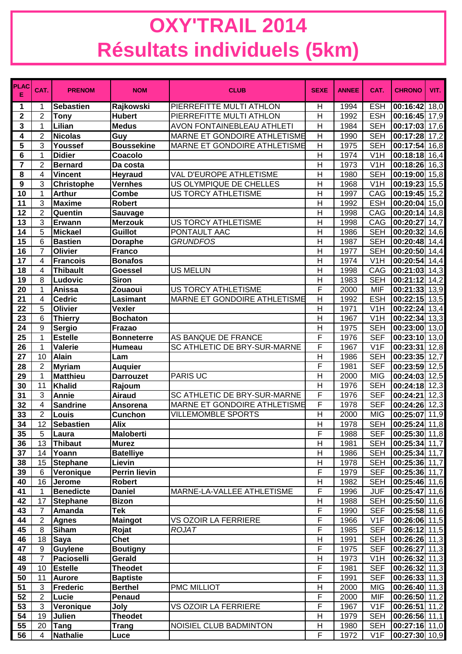## **OXY'TRAIL 2014 Résultats individuels (5km)**

| <b>PLAC</b><br>Е | CAT.           | <b>PRENOM</b>     | <b>NOM</b>           | <b>CLUB</b>                         | <b>SEXE</b>             | <b>ANNEE</b> | CAT.              | <b>CHRONO</b>              | VIT.              |
|------------------|----------------|-------------------|----------------------|-------------------------------------|-------------------------|--------------|-------------------|----------------------------|-------------------|
| 1                | 1              | <b>Sebastien</b>  | Rajkowski            | PIERREFITTE MULTI ATHLON            | Η                       | 1994         | <b>ESH</b>        | 00:16:42                   | 18,0              |
| $\mathbf{2}$     | $\overline{2}$ | <b>Tony</b>       | <b>Hubert</b>        | PIERREFITTE MULTI ATHLON            | H                       | 1992         | <b>ESH</b>        | 00:16:45 17,9              |                   |
| 3                | 1              | Lilian            | <b>Medus</b>         | AVON FONTAINEBLEAU ATHLETI          | H                       | 1984         | <b>SEH</b>        | 00:17:03 17,6              |                   |
| 4                | 2              | <b>Nicolas</b>    | Guy                  | <b>MARNE ET GONDOIRE ATHLETISME</b> | $\overline{\mathsf{H}}$ | 1990         | <b>SEH</b>        | 00:17:28                   | 17,2              |
| 5                | 3              | Youssef           | <b>Boussekine</b>    | MARNE ET GONDOIRE ATHLETISME        | H                       | 1975         | <b>SEH</b>        | 00:17:54                   | 16,8              |
| $6\phantom{1}6$  | 1              | <b>Didier</b>     | Coacolo              |                                     | $\overline{H}$          | 1974         | V1H               | 00:18:18 16,4              |                   |
| $\overline{7}$   | $\overline{2}$ | <b>Bernard</b>    | Da costa             |                                     | H                       | 1973         | V <sub>1</sub> H  | $00:18:26$ 16,3            |                   |
| 8                | 4              | Vincent           | Heyraud              | VAL D'EUROPE ATHLETISME             | $\overline{H}$          | 1980         | <b>SEH</b>        | 00:19:00                   | 15,8              |
| 9                | 3              | <b>Christophe</b> | <b>Vernhes</b>       | US OLYMPIQUE DE CHELLES             | H                       | 1968         | V <sub>1</sub> H  | 00:19:23                   | 15,5              |
| 10               | $\mathbf{1}$   | <b>Arthur</b>     | <b>Combe</b>         | <b>US TORCY ATHLETISME</b>          | H                       | 1997         | CAG               | $00:19:45$ 15,2            |                   |
| 11               | $\overline{3}$ | <b>Maxime</b>     | <b>Robert</b>        |                                     | H                       | 1992         | <b>ESH</b>        | $00:20:04$ 15,0            |                   |
| 12               | $\overline{2}$ | Quentin           | Sauvage              |                                     | H                       | 1998         | CAG               | 00:20:14 14,8              |                   |
| 13               | 3              | <b>Erwann</b>     | <b>Merzouk</b>       | US TORCY ATHLETISME                 | H                       | 1998         | CAG               | 00:20:27                   | 14,7              |
| 14               | 5              | <b>Mickael</b>    | <b>Guillot</b>       | PONTAULT AAC                        | H                       | 1986         | <b>SEH</b>        | 00:20:32 14,6              |                   |
| 15               | 6              | <b>Bastien</b>    | <b>Doraphe</b>       | <b>GRUNDFOS</b>                     | $\overline{\mathsf{H}}$ | 1987         | <b>SEH</b>        | 00:20:48 14,4              |                   |
| 16               | $\overline{7}$ | <b>Olivier</b>    | <b>Franco</b>        |                                     | H                       | 1977         | <b>SEH</b>        | 00:20:50                   | 14,4              |
| 17               | 4              | <b>Francois</b>   | <b>Bonafos</b>       |                                     | H                       | 1974         | V1H               | 00:20:54                   | 14,4              |
| 18               | 4              | <b>Thibault</b>   | <b>Goessel</b>       | <b>US MELUN</b>                     | H                       | 1998         | CAG               | 00:21:03 14,3              |                   |
| 19               | 8              | Ludovic           | <b>Siron</b>         |                                     | H                       | 1983         | <b>SEH</b>        | 00:21:12 14,2              |                   |
| 20               | 1              | Anissa            | Zouaoui              | <b>US TORCY ATHLETISME</b>          | F                       | 2000         | <b>MIF</b>        | 00:21:33 13,9              |                   |
| 21               | 4              | <b>Cedric</b>     | <b>Lasimant</b>      | MARNE ET GONDOIRE ATHLETISME        | H                       | 1992         | <b>ESH</b>        | 00:22:15 13,5              |                   |
| 22               | 5              | <b>Olivier</b>    | <b>Vexler</b>        |                                     | H                       | 1971         | V <sub>1</sub> H  | 00:22:24 13,4              |                   |
| 23               | 6              | <b>Thierry</b>    | <b>Bochaton</b>      |                                     | H                       | 1967         | V <sub>1</sub> H  | $00:22:34$ 13,3            |                   |
| 24               | 9              | <b>Sergio</b>     | Frazao               |                                     | H                       | 1975         | <b>SEH</b>        | 00:23:00 13,0              |                   |
| 25               | $\mathbf{1}$   | <b>Estelle</b>    | <b>Bonneterre</b>    | AS BANQUE DE FRANCE                 | F                       | 1976         | <b>SEF</b>        | 00:23:10                   | 13,0              |
| 26               | $\mathbf 1$    | Valerie           | Humeau               | SC ATHLETIC DE BRY-SUR-MARNE        | F                       | 1967         | V1F               | 00:23:31                   | 12,8              |
| 27               | 10             | <b>Alain</b>      | Lam                  |                                     | $\overline{\mathsf{H}}$ | 1986         | <b>SEH</b>        | $00:23:35$ 12,7            |                   |
| 28               | $\overline{2}$ | <b>Myriam</b>     | <b>Auquier</b>       |                                     | F                       | 1981         | <b>SEF</b>        | 00:23:59                   | 12,5              |
| 29               | $\mathbf 1$    | <b>Matthieu</b>   | <b>Darrouzet</b>     | <b>PARIS UC</b>                     | $\overline{\mathsf{H}}$ | 2000         | <b>MIG</b>        | 00:24:03                   | $\overline{12,5}$ |
| 30               | 11             | <b>Khalid</b>     | Rajoum               |                                     | H                       | 1976         | <b>SEH</b>        | 00:24:18                   | 12,3              |
| 31               | 3              | Annie             | <b>Airaud</b>        | SC ATHLETIC DE BRY-SUR-MARNE        | F                       | 1976         | <b>SEF</b>        | 00:24:21                   | 12,3              |
| 32               | 4              | <b>Sandrine</b>   | Ansorena             | <b>MARNE ET GONDOIRE ATHLETISME</b> | F                       | 1978         | <b>SEF</b>        | $00:24:26$ 12,3            |                   |
| 33               | $\overline{2}$ | Louis             | <b>Cunchon</b>       | <b>VILLEMOMBLE SPORTS</b>           | H                       | 2000         | <b>MIG</b>        | 00:25:07                   | 11,9              |
| 34               | 12             | Sebastien         | <b>Alix</b>          |                                     | Н                       | 1978         | <b>SEH</b>        | $ 00:25:24 $ 11,8          |                   |
| 35               | 5              | Laura             | <b>Maloberti</b>     |                                     | F                       | 1988         | <b>SEF</b>        | 00:25:30 11,8              |                   |
| 36               | 13             | <b>Thibaut</b>    | <b>Murez</b>         |                                     | H                       | 1981         | <b>SEH</b>        | 00:25:34 11,7              |                   |
| 37               | 14             | Yoann             | <b>Batelliye</b>     |                                     | Н                       | 1986         | <b>SEH</b>        | 00:25:34 11,7              |                   |
| 38               | 15             | <b>Stephane</b>   | Lievin               |                                     | Н                       | 1978         | <b>SEH</b>        | 00:25:36 11,7              |                   |
| 39               | 6              | Veronique         | <b>Perrin lievin</b> |                                     | F                       | 1979         | <b>SEF</b>        | 00:25:36 11,7              |                   |
| 40               | 16             | <b>Jerome</b>     | <b>Robert</b>        |                                     | H                       | 1982         | <b>SEH</b>        | $\overline{00:25:46}$ 11,6 |                   |
| 41               | $\mathbf{1}$   | <b>Benedicte</b>  | <b>Daniel</b>        | MARNE-LA-VALLEE ATHLETISME          | F                       | 1996         | <b>JUF</b>        | $\overline{00:25:47}$ 11,6 |                   |
| 42               | 17             | <b>Stephane</b>   | <b>Bizon</b>         |                                     | H                       | 1988         | <b>SEH</b>        | 00:25:50 11,6              |                   |
| 43               | $\overline{7}$ | Amanda            | <b>Tek</b>           |                                     | F                       | 1990         | <b>SEF</b>        | 00:25:58 11,6              |                   |
| 44               | $\overline{2}$ | <b>Agnes</b>      | <b>Maingot</b>       | VS OZOIR LA FERRIERE                | $\overline{F}$          | 1966         | $\overline{V}$ 1F | $\overline{00:}26:06$ 11,5 |                   |
| 45               | 8              | <b>Siham</b>      | Rojat                | ROJAT                               | F                       | 1985         | <b>SEF</b>        | $\overline{00:26:12}$ 11,5 |                   |
| 46               | 18             | <b>Saya</b>       | <b>Chet</b>          |                                     | H                       | 1991         | <b>SEH</b>        | $\overline{00:}26:26$ 11,3 |                   |
| 47               | 9              | <b>Guylene</b>    | <b>Boutigny</b>      |                                     | F                       | 1975         | <b>SEF</b>        | $\overline{00:}26:27$ 11,3 |                   |
| 48               | $\overline{7}$ | Pacioselli        | Gerald               |                                     | $\overline{H}$          | 1973         | V1H               | $\overline{00:26:32 11,3}$ |                   |
| 49               | 10             | <b>Estelle</b>    | <b>Theodet</b>       |                                     | F                       | 1981         | <b>SEF</b>        | 00:26:32 11,3              |                   |
| 50               | 11             | <b>Aurore</b>     | <b>Baptiste</b>      |                                     | F                       | 1991         | <b>SEF</b>        | 00:26:33 11,3              |                   |
| 51               | $\mathbf{3}$   | <b>Frederic</b>   | <b>Berthel</b>       | PMC MILLIOT                         | Н                       | 2000         | <b>MIG</b>        | 00:26:40 11,3              |                   |
| 52               | $\overline{2}$ | Lucie             | Penaud               |                                     | F                       | 2000         | <b>MIF</b>        | 00:26:50 11,2              |                   |
| 53               | $\mathbf{3}$   | Veronique         | Joly                 | VS OZOIR LA FERRIERE                | F                       | 1967         | V1F               | $\overline{00:}26:51$ 11,2 |                   |
| 54               | 19             | Julien            | <b>Theodet</b>       |                                     | Н                       | 1979         | <b>SEH</b>        | 00:26:56 11,1              |                   |
| 55               | 20             | <b>Tang</b>       | <b>Trang</b>         | NOISIEL CLUB BADMINTON              | Н                       | 1980         | <b>SEH</b>        | 00:27:16 11,0              |                   |
| 56               | $\overline{4}$ | Nathalie          | Luce                 |                                     | $\overline{F}$          | 1972         | V1F               | 00:27:30 10,9              |                   |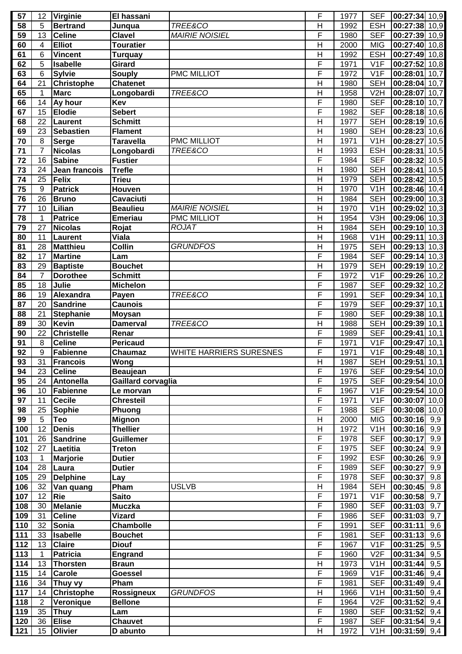| 57  | 12              | <b>Virginie</b>   | El hassani         |                                | F              | 1977 | <b>SEF</b>        | 00:27:34 10,9              |
|-----|-----------------|-------------------|--------------------|--------------------------------|----------------|------|-------------------|----------------------------|
| 58  | 5               | <b>Bertrand</b>   | Junqua             | TREE&CO                        | H              | 1992 | <b>ESH</b>        | 00:27:38 10,9              |
| 59  | 13              | <b>Celine</b>     | <b>Clavel</b>      | <b>MAIRIE NOISIEL</b>          | F              | 1980 | <b>SEF</b>        | 00:27:39 10,9              |
| 60  | 4               | <b>Elliot</b>     | <b>Touratier</b>   |                                | $\overline{H}$ | 2000 | <b>MIG</b>        | 00:27:40 10,8              |
| 61  | 6               | <b>Vincent</b>    | <b>Turquay</b>     |                                | H              | 1992 | <b>ESH</b>        | 00:27:49 10,8              |
| 62  | 5               | <b>Isabelle</b>   | <b>Girard</b>      |                                | F              | 1971 | V1F               | $\overline{00:}27:52$ 10,8 |
| 63  | 6               | <b>Sylvie</b>     | <b>Souply</b>      | PMC MILLIOT                    | F              | 1972 | V1F               | 00:28:01<br>10,7           |
| 64  | 21              | <b>Christophe</b> | <b>Chatenet</b>    |                                | $\mathsf{H}$   | 1980 | <b>SEH</b>        | 00:28:04 10,7              |
| 65  | 1               | <b>Marc</b>       | Longobardi         | TREE&CO                        | $\overline{H}$ | 1958 | V <sub>2</sub> H  | 00:28:07 10,7              |
| 66  | 14              | Ay hour           | Kev                |                                | F              | 1980 | <b>SEF</b>        | 00:28:10 10,7              |
| 67  | 15              | <b>Elodie</b>     | Sebert             |                                | F              | 1982 | <b>SEF</b>        | $\overline{00:}28:18$ 10,6 |
| 68  | 22              | Laurent           | <b>Schmitt</b>     |                                | $\overline{H}$ | 1977 | <b>SEH</b>        | 00:28:19 10,6              |
| 69  | 23              | <b>Sebastien</b>  | <b>Flament</b>     |                                | H              | 1980 | <b>SEH</b>        | 00:28:23 10,6              |
| 70  | $\, 8$          | <b>Serge</b>      | <b>Taravella</b>   | PMC MILLIOT                    | $\overline{H}$ | 1971 | V <sub>1</sub> H  | 00:28:27<br>10,5           |
| 71  | $\overline{7}$  | <b>Nicolas</b>    | Longobardi         | TREE&CO                        | H              | 1993 | <b>ESH</b>        | 00:28:31<br>10,5           |
|     | 16              | <b>Sabine</b>     | <b>Fustier</b>     |                                | F              |      |                   |                            |
| 72  |                 |                   |                    |                                |                | 1984 | <b>SEF</b>        | 00:28:32<br>10,5           |
| 73  | 24              | Jean francois     | <b>Trefle</b>      |                                | $\overline{H}$ | 1980 | <b>SEH</b>        | 00:28:41<br>10,5           |
| 74  | 25              | Felix             | <b>Trieu</b>       |                                | H              | 1979 | <b>SEH</b>        | 70,5<br>00:28:42           |
| 75  | $9\,$           | <b>Patrick</b>    | Houven             |                                | H              | 1970 | V <sub>1</sub> H  | 00:28:46 10,4              |
| 76  | 26              | <b>Bruno</b>      | Cavaciuti          |                                | H              | 1984 | <b>SEH</b>        | 00:29:00<br>10,3           |
| 77  | 10              | Lilian            | <b>Beaulieu</b>    | <b>MAIRIE NOISIEL</b>          | H              | 1970 | V <sub>1</sub> H  | 00:29:02 10,3              |
| 78  | 1               | <b>Patrice</b>    | <b>Emeriau</b>     | <b>PMC MILLIOT</b>             | H              | 1954 | V3H               | 00:29:06 10,3              |
| 79  | 27              | <b>Nicolas</b>    | Rojat              | <b>ROJAT</b>                   | Η              | 1984 | <b>SEH</b>        | 00:29:10 10,3              |
| 80  | 11              | <b>Laurent</b>    | <b>Viala</b>       |                                | Η              | 1968 | V <sub>1</sub> H  | 00:29:11<br>10,3           |
| 81  | 28              | <b>Matthieu</b>   | <b>Collin</b>      | <b>GRUNDFOS</b>                | $\overline{H}$ | 1975 | <b>SEH</b>        | 00:29:13 10,3              |
| 82  | 17              | <b>Martine</b>    | Lam                |                                | F              | 1984 | <b>SEF</b>        | 00:29:14 10,3              |
| 83  | 29              | <b>Baptiste</b>   | <b>Bouchet</b>     |                                | H              | 1979 | <b>SEH</b>        | 00:29:19 10,2              |
| 84  | $\overline{7}$  | <b>Dorothee</b>   | <b>Schmitt</b>     |                                | F              | 1972 | $\overline{V1F}$  | 00:29:26 10,2              |
| 85  | $\overline{18}$ | Julie             | <b>Michelon</b>    |                                | F              | 1987 | <b>SEF</b>        | 00:29:32 10,2              |
| 86  | 19              | Alexandra         | Payen              | TREE&CO                        | F              | 1991 | <b>SEF</b>        | $00:29:34$ 10,1            |
| 87  | 20              | <b>Sandrine</b>   | <b>Caunois</b>     |                                | F              | 1979 | <b>SEF</b>        | 00:29:37<br>10,1           |
| 88  | 21              | <b>Stephanie</b>  | <b>Moysan</b>      |                                | F              | 1980 | <b>SEF</b>        | 00:29:38 10,1              |
| 89  | 30              | <b>Kevin</b>      | <b>Damerval</b>    | TREE&CO                        | $\overline{H}$ | 1988 | <b>SEH</b>        | 00:29:39 10,1              |
| 90  | 22              | <b>Christelle</b> | Renar              |                                | F              | 1989 | <b>SEF</b>        | 00:29:41<br>10,1           |
| 91  | 8               | <b>Celine</b>     | <b>Pericaud</b>    |                                | F              | 1971 | V1F               | 00:29:47<br>70,1           |
| 92  | $9\,$           | Fabienne          | <b>Chaumaz</b>     | <b>WHITE HARRIERS SURESNES</b> | F              | 1971 | V1F               | $\overline{00:}29:48$ 10,1 |
|     |                 |                   |                    |                                |                |      |                   |                            |
| 93  | 31              | <b>Francois</b>   | Wong               |                                | H<br>F         | 1987 | SEH               | $[00:29:51]$ 10,1          |
| 94  | 23              | <b>Celine</b>     | Beaujean           |                                |                | 1976 | <b>SEF</b>        | 00:29:54 10,0              |
| 95  | 24              | <b>Antonella</b>  | Gaillard corvaglia |                                | F              | 1975 | <b>SEF</b>        | 00:29:54 10,0              |
| 96  | 10              | Fabienne          | Le morvan          |                                | F              | 1967 | V <sub>1</sub> F  | 00:29:54 10,0              |
| 97  | 11              | <b>Cecile</b>     | Chresteil          |                                | F              | 1971 | $\overline{V1F}$  | 00:30:07 10,0              |
| 98  | 25              | <b>Sophie</b>     | Phuong             |                                | F              | 1988 | <b>SEF</b>        | 00:30:08 10,0              |
| 99  | $\overline{5}$  | Teo               | <b>Mignon</b>      |                                | H              | 2000 | <b>MIG</b>        | $00:30:16$ 9,9             |
| 100 | 12              | <b>Denis</b>      | Thellier           |                                | H              | 1972 | V <sub>1</sub> H  | $\overline{00:}30:16$ 9,9  |
| 101 | 26              | <b>Sandrine</b>   | <b>Guillemer</b>   |                                | F              | 1978 | <b>SEF</b>        | 9,9<br>00:30:17            |
| 102 | 27              | Laetitia          | <b>Treton</b>      |                                | F              | 1975 | <b>SEF</b>        | 00:30:24<br>9,9            |
| 103 | $\mathbf{1}$    | <b>Marjorie</b>   | <b>Dutier</b>      |                                | F              | 1992 | <b>ESF</b>        | 00:30:26<br>9,9            |
| 104 | 28              | Laura             | <b>Dutier</b>      |                                | F              | 1989 | <b>SEF</b>        | 00:30:27<br>9,9            |
| 105 | 29              | <b>Delphine</b>   | Lay                |                                | F              | 1978 | <b>SEF</b>        | 00:30:37<br>9,8            |
| 106 | 32              | Van quang         | Pham               | <b>USLVB</b>                   | $\overline{H}$ | 1984 | <b>SEH</b>        | $00:30:45$ 9,8             |
| 107 | 12              | Rie               | <b>Saito</b>       |                                | F              | 1971 | V1F               | $00:30:58$ 9,7             |
| 108 | 30              | <b>Melanie</b>    | <b>Muczka</b>      |                                | F              | 1980 | <b>SEF</b>        | 00:31:03<br>9,7            |
| 109 | 31              | <b>Celine</b>     | <b>Vizard</b>      |                                | F              | 1986 | <b>SEF</b>        | 00:31:03<br>9,7            |
| 110 | 32              | Sonia             | <b>Chambolle</b>   |                                | F              | 1991 | <b>SEF</b>        | 00:31:11<br>9,6            |
| 111 | 33              | <b>Isabelle</b>   | <b>Bouchet</b>     |                                | F              | 1981 | <b>SEF</b>        | 00:31:13<br>9,6            |
| 112 | 13              | <b>Claire</b>     | <b>Diouf</b>       |                                | F              | 1967 | V <sub>1</sub> F  | 00:31:25<br>9,5            |
| 113 | 1               | <b>Patricia</b>   | <b>Engrand</b>     |                                | F              | 1960 | V <sub>2F</sub>   | 00:31:34<br>9,5            |
| 114 | 13              |                   | <b>Braun</b>       |                                | H              | 1973 | V <sub>1</sub> H  | 00:31:44<br>9,5            |
|     |                 | <b>Thorsten</b>   |                    |                                | F              |      |                   |                            |
| 115 | 14              | <b>Carole</b>     | <b>Goessel</b>     |                                |                | 1969 | $\overline{V}$ 1F | 9,4<br>00:31:46            |
| 116 | 34              | <b>Thuy vy</b>    | Pham               |                                | F              | 1981 | <b>SEF</b>        | 00:31:49<br>9,4            |
| 117 | 14              | <b>Christophe</b> | Rossigneux         | <b>GRUNDFOS</b>                | Н              | 1966 | V <sub>1</sub> H  | $00:31:50$ 9,4             |
| 118 | 2               | Veronique         | <b>Bellone</b>     |                                | F              | 1964 | V2F               | 00:31:52<br>9,4            |
| 119 | 35              | <b>Thuy</b>       | Lam                |                                | F              | 1980 | <b>SEF</b>        | 00:31:52<br>9,4            |
| 120 | 36              | <b>Elise</b>      | <b>Chauvet</b>     |                                | F              | 1987 | <b>SEF</b>        | 00:31:54<br>9,4            |
| 121 | 15              | Olivier           | D abunto           |                                | H              | 1972 | V <sub>1</sub> H  | 00:31:59<br>9,4            |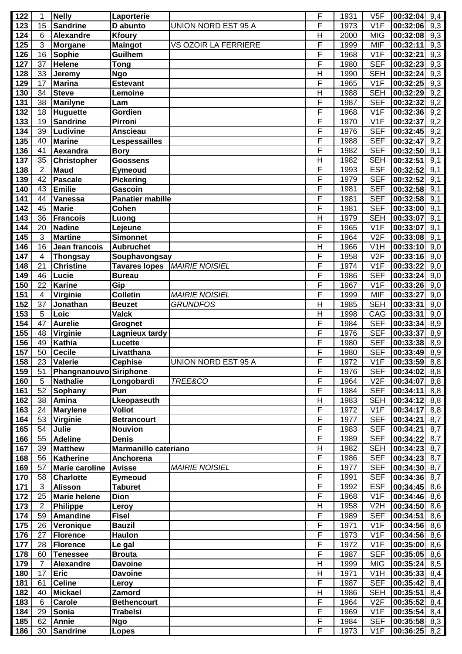| 122 | 1              | Nelly                  | Laporterie                  |                            | F              | 1931 | V5F              | $\overline{00:}32:04$ 9,4 |                  |
|-----|----------------|------------------------|-----------------------------|----------------------------|----------------|------|------------------|---------------------------|------------------|
| 123 | 15             | <b>Sandrine</b>        | D abunto                    | UNION NORD EST 95 A        | F              | 1973 | V1F              | 00:32:06                  | 9,3              |
| 124 | 6              | Alexandre              | <b>Kfoury</b>               |                            | H              | 2000 | <b>MIG</b>       | 00:32:08                  | 9,3              |
| 125 | 3              | <b>Morgane</b>         | <b>Maingot</b>              | VS OZOIR LA FERRIERE       | F              | 1999 | <b>MIF</b>       | 00:32:11                  | 9,3              |
| 126 | 16             | <b>Sophie</b>          | Guilhem                     |                            | F              | 1968 | V1F              | 00:32:21                  | 9,3              |
| 127 | 37             | <b>Helene</b>          | <b>Tong</b>                 |                            | F              | 1980 | <b>SEF</b>       | 00:32:23                  | 9,3              |
| 128 | 33             | Jeremy                 | <b>Ngo</b>                  |                            | $\mathsf{H}$   | 1990 | <b>SEH</b>       | 00:32:24                  | 9,3              |
| 129 | 17             | <b>Marina</b>          | <b>Estevant</b>             |                            | F              | 1965 | V1F              | 00:32:25                  | 9,3              |
| 130 | 34             | <b>Steve</b>           | Lemoine                     |                            | H              | 1988 | <b>SEH</b>       | 00:32:29                  | 9,2              |
|     |                |                        |                             |                            | F              |      |                  |                           |                  |
| 131 | 38             | Marilyne               | Lam                         |                            |                | 1987 | <b>SEF</b>       | 00:32:32                  | 9,2              |
| 132 | 18             | <b>Huguette</b>        | Gordien                     |                            | F              | 1968 | V1F              | 00:32:36                  | 9,2              |
| 133 | 19             | <b>Sandrine</b>        | Pirroni                     |                            | F              | 1970 | V1F              | 00:32:37                  | 9,2              |
| 134 | 39             | Ludivine               | <b>Anscieau</b>             |                            | F              | 1976 | <b>SEF</b>       | 00:32:45                  | 9,2              |
| 135 | 40             | <b>Marine</b>          | Lespessailles               |                            | F              | 1988 | <b>SEF</b>       | 00:32:47                  | $\overline{9,2}$ |
| 136 | 41             | Aexandra               | <b>Bory</b>                 |                            | F              | 1982 | <b>SEF</b>       | 00:32:50                  | 9,1              |
| 137 | 35             | <b>Christopher</b>     | <b>Goossens</b>             |                            | $\overline{H}$ | 1982 | <b>SEH</b>       | 00:32:51                  | 9,1              |
| 138 | $\overline{2}$ | <b>Maud</b>            | <b>Eymeoud</b>              |                            | F              | 1993 | <b>ESF</b>       | 00:32:52                  | 9,1              |
| 139 | 42             | <b>Pascale</b>         | <b>Pickering</b>            |                            | F              | 1979 | <b>SEF</b>       | 00:32:52                  | 9,1              |
| 140 | 43             | <b>Emilie</b>          | Gascoin                     |                            | F              | 1981 | <b>SEF</b>       | 00:32:58                  | 9,1              |
| 141 | 44             | <b>Vanessa</b>         | <b>Panatier mabille</b>     |                            | F              | 1981 | <b>SEF</b>       | 00:32:58                  | 9,1              |
| 142 | 45             | <b>Marie</b>           | Cohen                       |                            | F              | 1981 | <b>SEF</b>       | 00:33:00                  | 9,1              |
| 143 | 36             | <b>Francois</b>        | Luong                       |                            | H              | 1979 | <b>SEH</b>       | 00:33:07                  | 9,1              |
| 144 | 20             | <b>Nadine</b>          | Lejeune                     |                            | F              | 1965 | V1F              | 00:33:07                  | 9,1              |
| 145 | 3              | <b>Martine</b>         | <b>Simonnet</b>             |                            | F              | 1964 | V2F              | 00:33:08                  | 9,1              |
|     |                |                        |                             |                            |                |      |                  |                           |                  |
| 146 | 16             | Jean francois          | <b>Aubruchet</b>            |                            | H              | 1966 | V <sub>1</sub> H | 00:33:10                  | 9,0              |
| 147 | $\overline{4}$ | <b>Thongsay</b>        | Souphavongsay               |                            | F              | 1958 | V2F              | 00:33:16                  | 9,0              |
| 148 | 21             | <b>Christine</b>       | <b>Tavares lopes</b>        | <b>MAIRIE NOISIEL</b>      | F              | 1974 | V1F              | 00:33:22                  | 9,0              |
| 149 | 46             | Lucie                  | <b>Bureau</b>               |                            | F              | 1986 | <b>SEF</b>       | 00:33:24                  | 9,0              |
| 150 | 22             | Karine                 | Gip                         |                            | F              | 1967 | V1F              | 00:33:26                  | 9,0              |
| 151 | $\overline{4}$ | Virginie               | <b>Colletin</b>             | <b>MAIRIE NOISIEL</b>      | F              | 1999 | <b>MIF</b>       | 00:33:27                  | 9,0              |
| 152 | 37             | Jonathan               | <b>Beuzet</b>               | <b>GRUNDFOS</b>            | $\overline{H}$ | 1985 | <b>SEH</b>       | 00:33:31                  | 9,0              |
| 153 | 5              | Loic                   | <b>Valck</b>                |                            | H              | 1998 | CAG              | 00:33:31                  | 9,0              |
| 154 | 47             | <b>Aurelie</b>         | Grognet                     |                            | F              | 1984 | <b>SEF</b>       | 00:33:34                  | 8,9              |
| 155 | 48             | Virginie               | Lagnieux tardy              |                            | F              | 1976 | <b>SEF</b>       | 00:33:37                  | 8,9              |
| 156 | 49             | <b>Kathia</b>          | Lucette                     |                            | F              | 1980 | <b>SEF</b>       | 00:33:38                  | 8,9              |
| 157 | 50             | <b>Cecile</b>          | Livatthana                  |                            | F              | 1980 | <b>SEF</b>       | 00:33:49                  | 8,9              |
| 158 | 23             | Valerie                | <b>Cephise</b>              | <b>UNION NORD EST 95 A</b> | F              | 1972 | V1F              | $ 00:33:59 $ 8,8          |                  |
| 159 | 51             | Phangnanouvo Siriphone |                             |                            | F              | 1976 | <b>SEF</b>       | 00:34:02                  | 8,8              |
| 160 | 5              | <b>Nathalie</b>        | Longobardi                  | TREE&CO                    | F              | 1964 | V2F              | 00:34:07                  | 8,8              |
| 161 | 52             | <b>Sophany</b>         | Pun                         |                            | F              | 1984 | <b>SEF</b>       | 00:34:11                  | 8,8              |
| 162 | 38             | Amina                  | Lkeopaseuth                 |                            | Η              | 1983 | <b>SEH</b>       | 00:34:12                  | 8,8              |
| 163 | 24             | <b>Marylene</b>        | <b>Voliot</b>               |                            | F              | 1972 | V <sub>1</sub> F | 00:34:17                  | 8,8              |
|     |                |                        |                             |                            | F              |      |                  |                           |                  |
| 164 | 53             | Virginie               | <b>Betrancourt</b>          |                            |                | 1977 | <b>SEF</b>       | 00:34:21                  | 8,7              |
| 165 | 54             | Julie                  | <b>Nouvion</b>              |                            | F              | 1983 | <b>SEF</b>       | 00:34:21                  | 8,7              |
| 166 | 55             | <b>Adeline</b>         | <b>Denis</b>                |                            | F              | 1989 | <b>SEF</b>       | 00:34:22                  | 8,7              |
| 167 | 39             | <b>Matthew</b>         | <b>Marmanillo cateriano</b> |                            | H              | 1982 | <b>SEH</b>       | $00:34:23$ 8,7            |                  |
| 168 | 56             | <b>Katherine</b>       | Anchorena                   |                            | F              | 1986 | <b>SEF</b>       | 00:34:23                  | 8,7              |
| 169 | 57             | <b>Marie caroline</b>  | <b>Avisse</b>               | <b>MAIRIE NOISIEL</b>      | F              | 1977 | <b>SEF</b>       | $00:34:30$ 8,7            |                  |
| 170 | 58             | <b>Charlotte</b>       | <b>Eymeoud</b>              |                            | F              | 1991 | <b>SEF</b>       | 00:34:36                  | 8,7              |
| 171 | 3              | Alisson                | <b>Taburet</b>              |                            | F              | 1992 | <b>ESF</b>       | $00:34:45$ 8,6            |                  |
| 172 | 25             | Marie helene           | <b>Dion</b>                 |                            | F              | 1968 | V <sub>1</sub> F | $00:34:46$ 8,6            |                  |
| 173 | $\overline{2}$ | <b>Philippe</b>        | Leroy                       |                            | Η              | 1958 | V2H              | 00:34:50                  | 8,6              |
| 174 | 59             | <b>Amandine</b>        | <b>Fisel</b>                |                            | F              | 1989 | <b>SEF</b>       | 00:34:51                  | 8,6              |
| 175 | 26             | Veronique              | <b>Bauzil</b>               |                            | F              | 1971 | V <sub>1</sub> F | $00:34:56$ 8,6            |                  |
| 176 | 27             | <b>Florence</b>        | <b>Haulon</b>               |                            | F              | 1973 | V1F              | $00:34:56$ 8,6            |                  |
| 177 | 28             | <b>Florence</b>        | Le gal                      |                            | F              | 1972 | V <sub>1F</sub>  | 00:35:00                  | 8,6              |
| 178 | 60             | <b>Tenessee</b>        | <b>Brouta</b>               |                            | F              | 1987 | <b>SEF</b>       | 00:35:05                  | 8,6              |
| 179 | $\overline{7}$ | Alexandre              | <b>Davoine</b>              |                            | Η              | 1999 | <b>MIG</b>       | 00:35:24                  | 8,5              |
| 180 | 17             | <b>Eric</b>            | <b>Davoine</b>              |                            | H              | 1971 | V <sub>1</sub> H | 00:35:33                  | 8,4              |
| 181 | 61             | <b>Celine</b>          | Leroy                       |                            | F              | 1987 | <b>SEF</b>       | 00:35:42                  | 8,4              |
| 182 | 40             | <b>Mickael</b>         | Zamord                      |                            | Η              | 1986 | <b>SEH</b>       | 00:35:51                  | 8,4              |
| 183 | 6              |                        |                             |                            | F              | 1964 | V2F              |                           |                  |
|     | 29             | <b>Carole</b>          | <b>Bethencourt</b>          |                            | F              |      | V <sub>1</sub> F | $00:35:52$ 8,4            |                  |
| 184 |                | Sonia                  | <b>Trabelsi</b>             |                            |                | 1969 |                  | $00:35:54$ 8,4            |                  |
| 185 | 62             | <b>Annie</b>           | <b>Ngo</b>                  |                            | F              | 1984 | <b>SEF</b>       | $00:35:58$ 8,3            |                  |
| 186 | 30             | Sandrine               | <b>Lopes</b>                |                            | F              | 1973 | V1F              | $00:36:25$ 8,2            |                  |